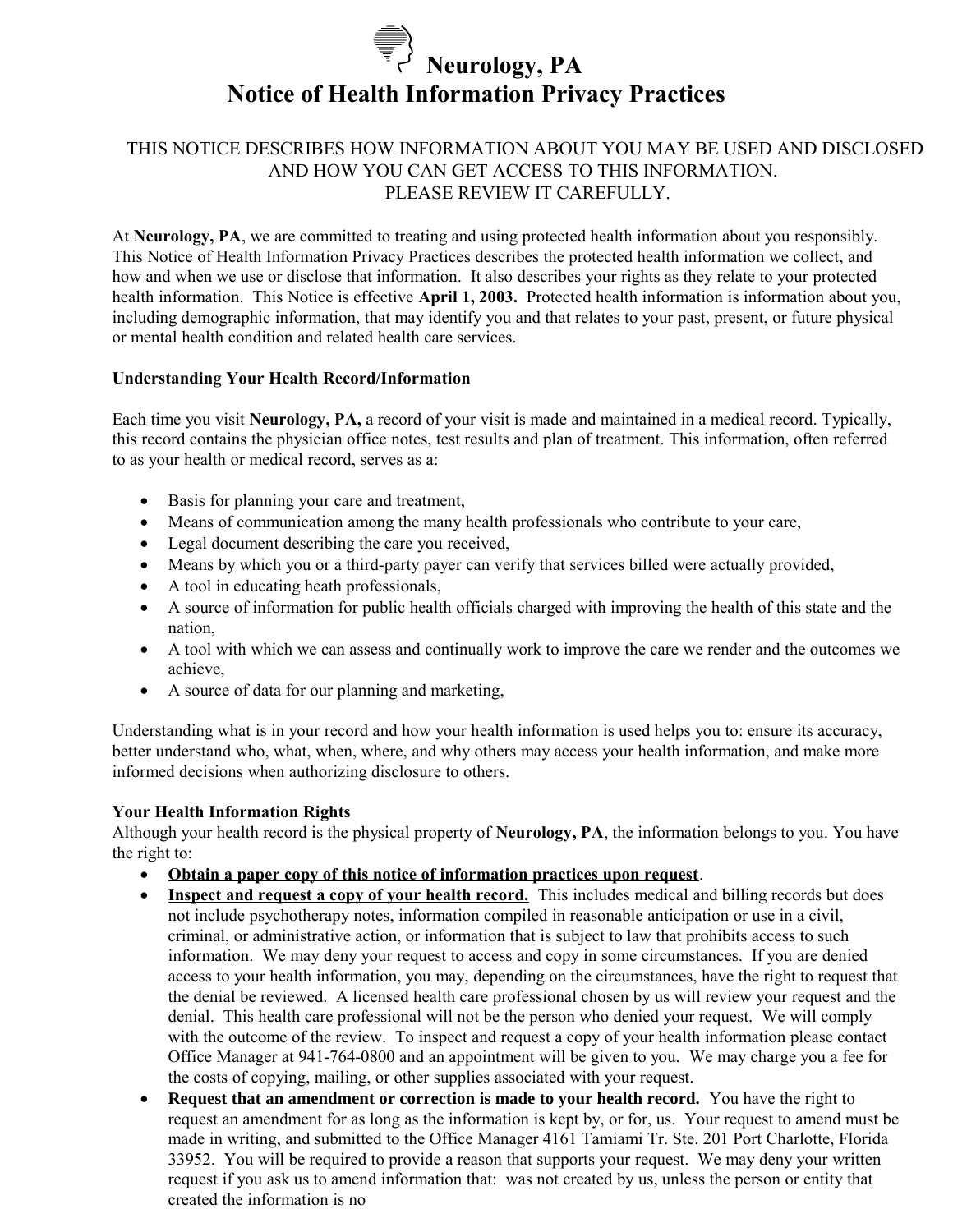# **Neurology, PA Notice of Health Information Privacy Practices**

# THIS NOTICE DESCRIBES HOW INFORMATION ABOUT YOU MAY BE USED AND DISCLOSED AND HOW YOU CAN GET ACCESS TO THIS INFORMATION. PLEASE REVIEW IT CAREFULLY.

At **Neurology, PA**, we are committed to treating and using protected health information about you responsibly. This Notice of Health Information Privacy Practices describes the protected health information we collect, and how and when we use or disclose that information. It also describes your rights as they relate to your protected health information. This Notice is effective **April 1, 2003.** Protected health information is information about you, including demographic information, that may identify you and that relates to your past, present, or future physical or mental health condition and related health care services.

## **Understanding Your Health Record/Information**

Each time you visit **Neurology, PA,** a record of your visit is made and maintained in a medical record. Typically, this record contains the physician office notes, test results and plan of treatment. This information, often referred to as your health or medical record, serves as a:

- Basis for planning your care and treatment,
- Means of communication among the many health professionals who contribute to your care,
- Legal document describing the care you received,
- Means by which you or a third-party payer can verify that services billed were actually provided,
- A tool in educating heath professionals,
- A source of information for public health officials charged with improving the health of this state and the nation,
- A tool with which we can assess and continually work to improve the care we render and the outcomes we achieve,
- A source of data for our planning and marketing,

Understanding what is in your record and how your health information is used helps you to: ensure its accuracy, better understand who, what, when, where, and why others may access your health information, and make more informed decisions when authorizing disclosure to others.

#### **Your Health Information Rights**

Although your health record is the physical property of **Neurology, PA**, the information belongs to you. You have the right to:

- **Obtain a paper copy of this notice of information practices upon request**.
- **Inspect and request a copy of your health record.** This includes medical and billing records but does not include psychotherapy notes, information compiled in reasonable anticipation or use in a civil, criminal, or administrative action, or information that is subject to law that prohibits access to such information. We may deny your request to access and copy in some circumstances. If you are denied access to your health information, you may, depending on the circumstances, have the right to request that the denial be reviewed. A licensed health care professional chosen by us will review your request and the denial. This health care professional will not be the person who denied your request. We will comply with the outcome of the review. To inspect and request a copy of your health information please contact Office Manager at 941-764-0800 and an appointment will be given to you. We may charge you a fee for the costs of copying, mailing, or other supplies associated with your request.
- **Request that an amendment or correction is made to your health record.** You have the right to request an amendment for as long as the information is kept by, or for, us. Your request to amend must be made in writing, and submitted to the Office Manager 4161 Tamiami Tr. Ste. 201 Port Charlotte, Florida 33952. You will be required to provide a reason that supports your request. We may deny your written request if you ask us to amend information that: was not created by us, unless the person or entity that created the information is no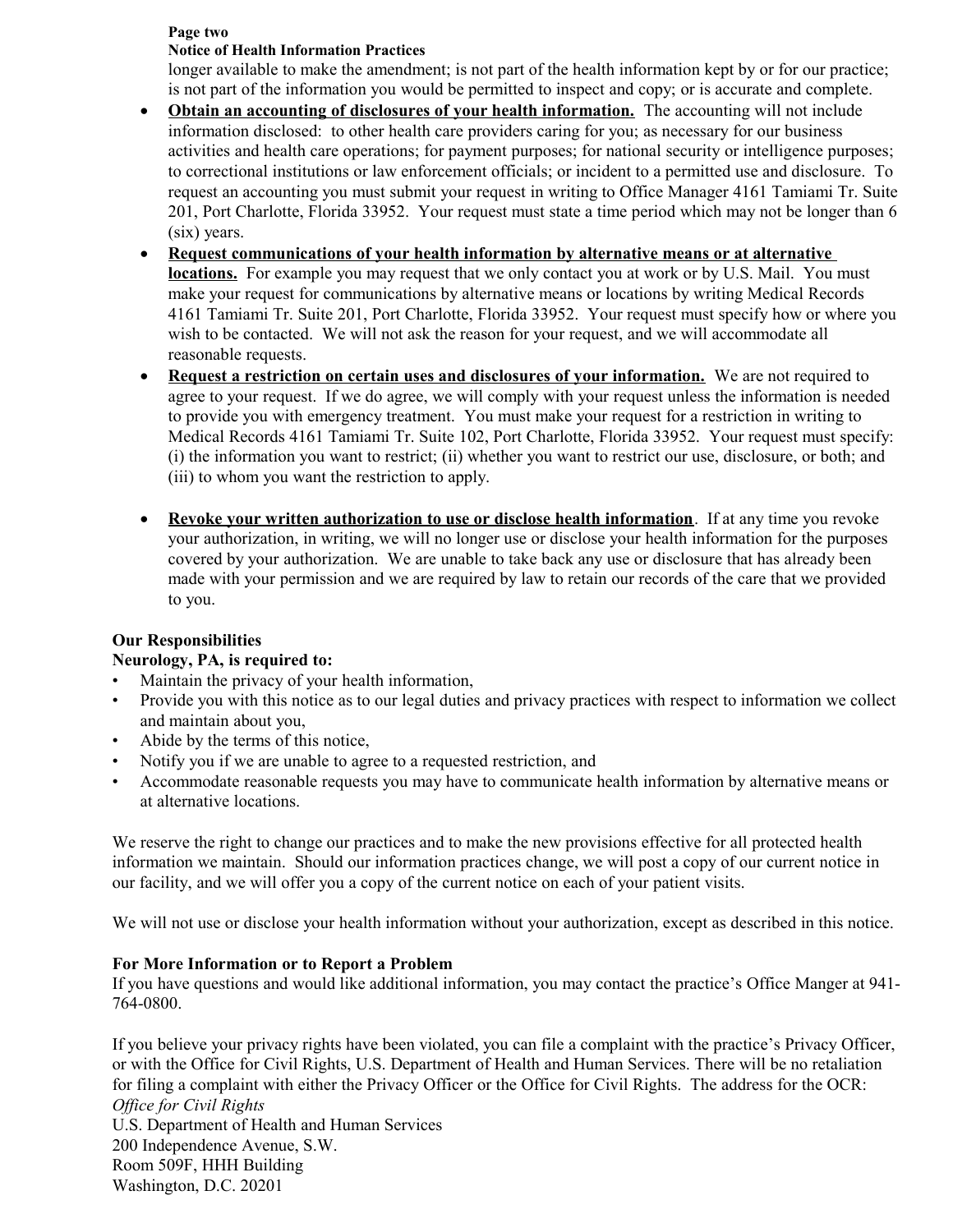#### **Page two**

#### **Notice of Health Information Practices**

longer available to make the amendment; is not part of the health information kept by or for our practice; is not part of the information you would be permitted to inspect and copy; or is accurate and complete.

- **Obtain an accounting of disclosures of your health information.** The accounting will not include information disclosed: to other health care providers caring for you; as necessary for our business activities and health care operations; for payment purposes; for national security or intelligence purposes; to correctional institutions or law enforcement officials; or incident to a permitted use and disclosure. To request an accounting you must submit your request in writing to Office Manager 4161 Tamiami Tr. Suite 201, Port Charlotte, Florida 33952. Your request must state a time period which may not be longer than 6 (six) years.
- **Request communications of your health information by alternative means or at alternative locations.** For example you may request that we only contact you at work or by U.S. Mail. You must make your request for communications by alternative means or locations by writing Medical Records 4161 Tamiami Tr. Suite 201, Port Charlotte, Florida 33952. Your request must specify how or where you wish to be contacted. We will not ask the reason for your request, and we will accommodate all reasonable requests.
- **Request a restriction on certain uses and disclosures of your information.** We are not required to agree to your request. If we do agree, we will comply with your request unless the information is needed to provide you with emergency treatment. You must make your request for a restriction in writing to Medical Records 4161 Tamiami Tr. Suite 102, Port Charlotte, Florida 33952. Your request must specify: (i) the information you want to restrict; (ii) whether you want to restrict our use, disclosure, or both; and (iii) to whom you want the restriction to apply.
- **Revoke your written authorization to use or disclose health information**. If at any time you revoke your authorization, in writing, we will no longer use or disclose your health information for the purposes covered by your authorization. We are unable to take back any use or disclosure that has already been made with your permission and we are required by law to retain our records of the care that we provided to you.

#### **Our Responsibilities**

## **Neurology, PA, is required to:**

- Maintain the privacy of your health information,
- Provide you with this notice as to our legal duties and privacy practices with respect to information we collect and maintain about you,
- Abide by the terms of this notice,
- Notify you if we are unable to agree to a requested restriction, and
- Accommodate reasonable requests you may have to communicate health information by alternative means or at alternative locations.

We reserve the right to change our practices and to make the new provisions effective for all protected health information we maintain. Should our information practices change, we will post a copy of our current notice in our facility, and we will offer you a copy of the current notice on each of your patient visits.

We will not use or disclose your health information without your authorization, except as described in this notice.

#### **For More Information or to Report a Problem**

If you have questions and would like additional information, you may contact the practice's Office Manger at 941- 764-0800.

If you believe your privacy rights have been violated, you can file a complaint with the practice's Privacy Officer, or with the Office for Civil Rights, U.S. Department of Health and Human Services. There will be no retaliation for filing a complaint with either the Privacy Officer or the Office for Civil Rights. The address for the OCR: *Office for Civil Rights* U.S. Department of Health and Human Services 200 Independence Avenue, S.W. Room 509F, HHH Building

Washington, D.C. 20201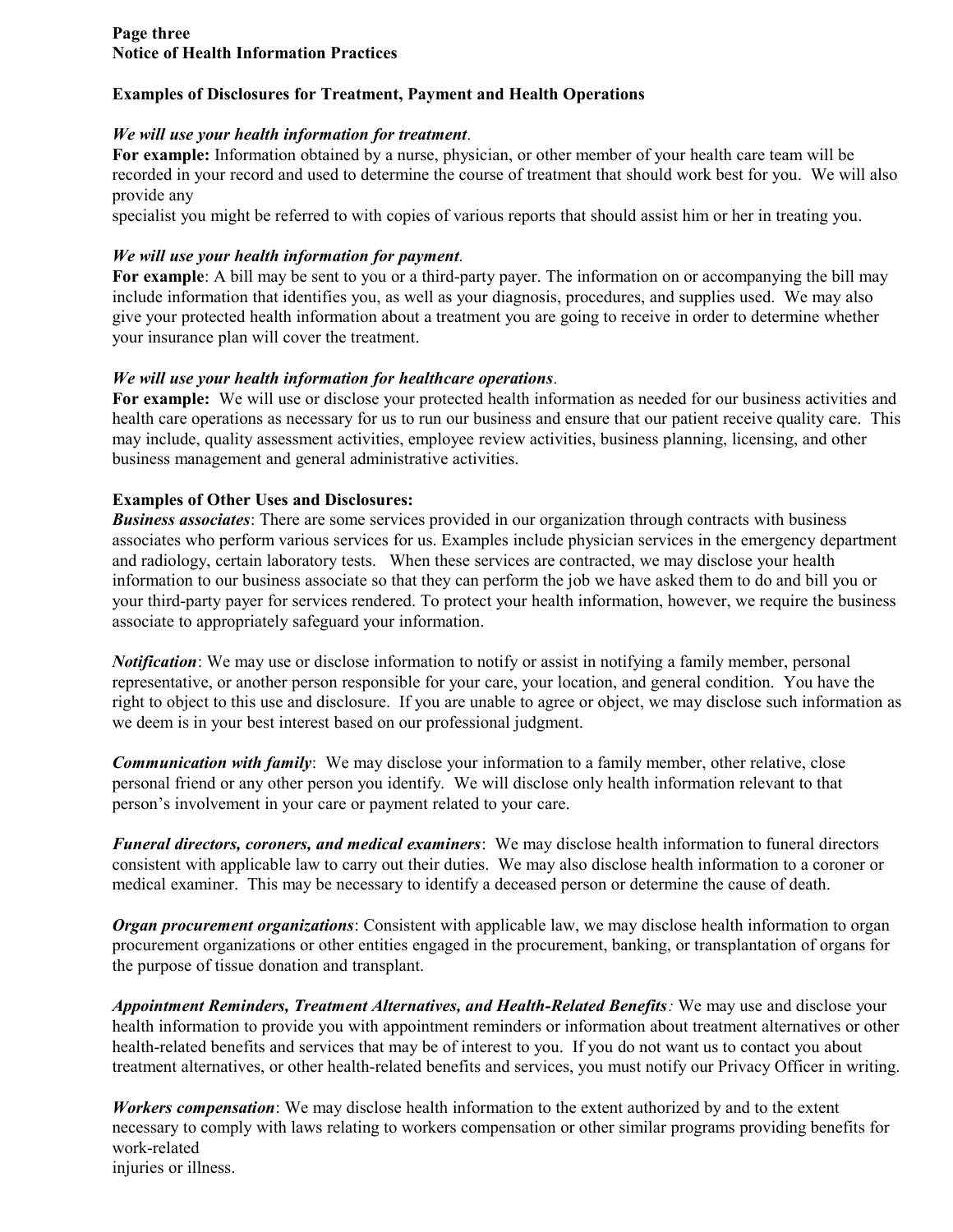#### **Page three Notice of Health Information Practices**

## **Examples of Disclosures for Treatment, Payment and Health Operations**

#### *We will use your health information for treatment.*

**For example:** Information obtained by a nurse, physician, or other member of your health care team will be recorded in your record and used to determine the course of treatment that should work best for you. We will also provide any

specialist you might be referred to with copies of various reports that should assist him or her in treating you.

## *We will use your health information for payment.*

**For example**: A bill may be sent to you or a third-party payer. The information on or accompanying the bill may include information that identifies you, as well as your diagnosis, procedures, and supplies used. We may also give your protected health information about a treatment you are going to receive in order to determine whether your insurance plan will cover the treatment.

#### *We will use your health information for healthcare operations.*

**For example:** We will use or disclose your protected health information as needed for our business activities and health care operations as necessary for us to run our business and ensure that our patient receive quality care. This may include, quality assessment activities, employee review activities, business planning, licensing, and other business management and general administrative activities.

#### **Examples of Other Uses and Disclosures:**

*Business associates*: There are some services provided in our organization through contracts with business associates who perform various services for us. Examples include physician services in the emergency department and radiology, certain laboratory tests. When these services are contracted, we may disclose your health information to our business associate so that they can perform the job we have asked them to do and bill you or your third-party payer for services rendered. To protect your health information, however, we require the business associate to appropriately safeguard your information.

*Notification*: We may use or disclose information to notify or assist in notifying a family member, personal representative, or another person responsible for your care, your location, and general condition. You have the right to object to this use and disclosure. If you are unable to agree or object, we may disclose such information as we deem is in your best interest based on our professional judgment.

*Communication with family*: We may disclose your information to a family member, other relative, close personal friend or any other person you identify. We will disclose only health information relevant to that person's involvement in your care or payment related to your care.

*Funeral directors, coroners, and medical examiners*: We may disclose health information to funeral directors consistent with applicable law to carry out their duties. We may also disclose health information to a coroner or medical examiner. This may be necessary to identify a deceased person or determine the cause of death.

*Organ procurement organizations*: Consistent with applicable law, we may disclose health information to organ procurement organizations or other entities engaged in the procurement, banking, or transplantation of organs for the purpose of tissue donation and transplant.

*Appointment Reminders, Treatment Alternatives, and Health-Related Benefits:* We may use and disclose your health information to provide you with appointment reminders or information about treatment alternatives or other health-related benefits and services that may be of interest to you. If you do not want us to contact you about treatment alternatives, or other health-related benefits and services, you must notify our Privacy Officer in writing.

*Workers compensation*: We may disclose health information to the extent authorized by and to the extent necessary to comply with laws relating to workers compensation or other similar programs providing benefits for work-related

injuries or illness.